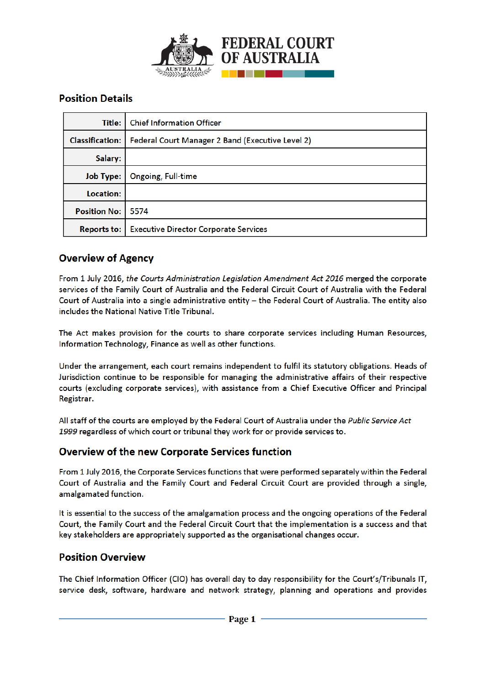

# **Position Details**

| Title: I               | <b>Chief Information Officer</b>                        |
|------------------------|---------------------------------------------------------|
| <b>Classification:</b> | <b>Federal Court Manager 2 Band (Executive Level 2)</b> |
| Salary:                |                                                         |
| <b>Job Type:</b>       | <b>Ongoing, Full-time</b>                               |
| Location:              |                                                         |
| <b>Position No: 1</b>  | 5574                                                    |
| <b>Reports to:</b>     | <b>Executive Director Corporate Services</b>            |

## **Overview of Agency**

From 1 July 2016, the Courts Administration Legislation Amendment Act 2016 merged the corporate services of the Family Court of Australia and the Federal Circuit Court of Australia with the Federal Court of Australia into a single administrative entity - the Federal Court of Australia. The entity also includes the National Native Title Tribunal.

The Act makes provision for the courts to share corporate services including Human Resources, Information Technology, Finance as well as other functions.

Under the arrangement, each court remains independent to fulfil its statutory obligations. Heads of Jurisdiction continue to be responsible for managing the administrative affairs of their respective courts (excluding corporate services), with assistance from a Chief Executive Officer and Principal Registrar.

All staff of the courts are employed by the Federal Court of Australia under the Public Service Act 1999 regardless of which court or tribunal they work for or provide services to.

### **Overview of the new Corporate Services function**

From 1 July 2016, the Corporate Services functions that were performed separately within the Federal Court of Australia and the Family Court and Federal Circuit Court are provided through a single, amalgamated function.

It is essential to the success of the amalgamation process and the ongoing operations of the Federal Court, the Family Court and the Federal Circuit Court that the implementation is a success and that key stakeholders are appropriately supported as the organisational changes occur.

### **Position Overview**

The Chief Information Officer (CIO) has overall day to day responsibility for the Court's/Tribunals IT, service desk, software, hardware and network strategy, planning and operations and provides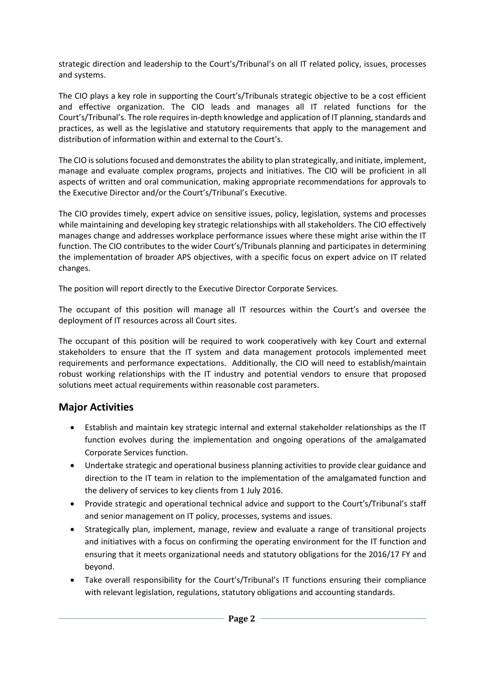strategic direction and leadership to the Court's/Tribunal's on all IT related policy, issues, processes and systems.

The CIO plays a key role in supporting the Court's/Tribunals strategic objective to be a cost efficient and effective organization. The CIO leads and manages all IT related functions for the Court's/Tribunal's. The role requires in-depth knowledge and application of IT planning, standards and practices, as well as the legislative and statutory requirements that apply to the management and distribution of information within and external to the Court's.

The CIO is solutions focused and demonstrates the ability to plan strategically, and initiate, implement, manage and evaluate complex programs, projects and initiatives. The CIO will be proficient in all aspects of written and oral communication, making appropriate recommendations for approvals to the Executive Director and/or the Court's/Tribunal's Executive.

The CIO provides timely, expert advice on sensitive issues, policy, legislation, systems and processes while maintaining and developing key strategic relationships with all stakeholders. The CIO effectively manages change and addresses workplace performance issues where these might arise within the IT function. The CIO contributes to the wider Court's/Tribunals planning and participates in determining the implementation of broader APS objectives, with a specific focus on expert advice on IT related changes.

The position will report directly to the Executive Director Corporate Services.

The occupant of this position will manage all IT resources within the Court's and oversee the deployment of IT resources across all Court sites.

The occupant of this position will be required to work cooperatively with key Court and external stakeholders to ensure that the IT system and data management protocols implemented meet requirements and performance expectations. Additionally, the CIO will need to establish/maintain robust working relationships with the IT industry and potential vendors to ensure that proposed solutions meet actual requirements within reasonable cost parameters.

## **Major Activities**

- Establish and maintain key strategic internal and external stakeholder relationships as the IT function evolves during the implementation and ongoing operations of the amalgamated Corporate Services function.
- Undertake strategic and operational business planning activities to provide clear guidance and direction to the IT team in relation to the implementation of the amalgamated function and the delivery of services to key clients from 1 July 2016.
- Provide strategic and operational technical advice and support to the Court's/Tribunal's staff and senior management on IT policy, processes, systems and issues.
- Strategically plan, implement, manage, review and evaluate a range of transitional projects and initiatives with a focus on confirming the operating environment for the IT function and ensuring that it meets organizational needs and statutory obligations for the 2016/17 FY and beyond.
- Take overall responsibility for the Court's/Tribunal's IT functions ensuring their compliance with relevant legislation, regulations, statutory obligations and accounting standards.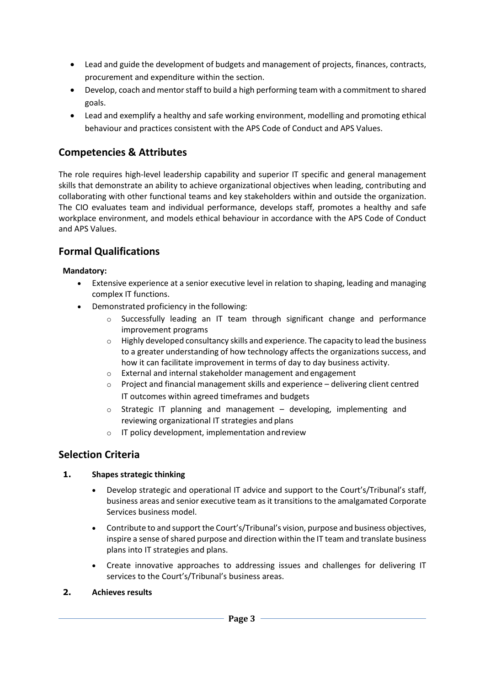- Lead and guide the development of budgets and management of projects, finances, contracts, procurement and expenditure within the section.
- Develop, coach and mentor staff to build a high performing team with a commitment to shared goals.
- Lead and exemplify a healthy and safe working environment, modelling and promoting ethical behaviour and practices consistent with the APS Code of Conduct and APS Values.

# **Competencies & Attributes**

The role requires high-level leadership capability and superior IT specific and general management skills that demonstrate an ability to achieve organizational objectives when leading, contributing and collaborating with other functional teams and key stakeholders within and outside the organization. The CIO evaluates team and individual performance, develops staff, promotes a healthy and safe workplace environment, and models ethical behaviour in accordance with the APS Code of Conduct and APS Values.

## **Formal Qualifications**

### **Mandatory:**

- Extensive experience at a senior executive level in relation to shaping, leading and managing complex IT functions.
- Demonstrated proficiency in the following:
	- $\circ$  Successfully leading an IT team through significant change and performance improvement programs
	- $\circ$  Highly developed consultancy skills and experience. The capacity to lead the business to a greater understanding of how technology affects the organizations success, and how it can facilitate improvement in terms of day to day business activity.
	- o External and internal stakeholder management and engagement
	- $\circ$  Project and financial management skills and experience delivering client centred IT outcomes within agreed timeframes and budgets
	- $\circ$  Strategic IT planning and management developing, implementing and reviewing organizational IT strategies and plans
	- o IT policy development, implementation andreview

### **Selection Criteria**

### **1. Shapes strategic thinking**

- Develop strategic and operational IT advice and support to the Court's/Tribunal's staff, business areas and senior executive team as it transitions to the amalgamated Corporate Services business model.
- Contribute to and support the Court's/Tribunal's vision, purpose and business objectives, inspire a sense of shared purpose and direction within the IT team and translate business plans into IT strategies and plans.
- Create innovative approaches to addressing issues and challenges for delivering IT services to the Court's/Tribunal's business areas.
- **2. Achieves results**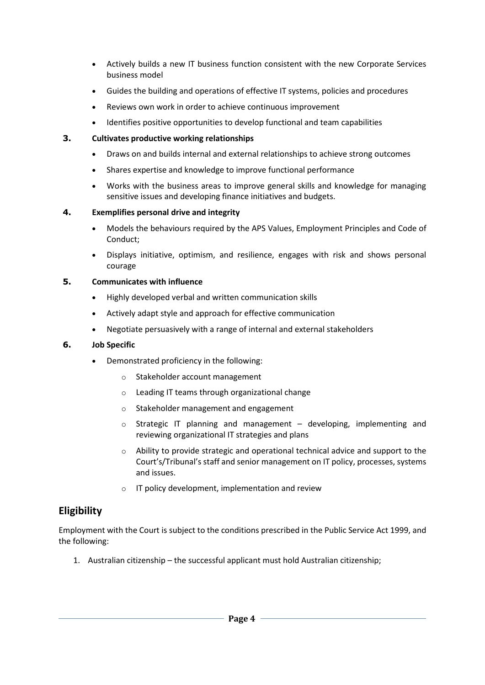- Actively builds a new IT business function consistent with the new Corporate Services business model
- Guides the building and operations of effective IT systems, policies and procedures
- Reviews own work in order to achieve continuous improvement
- Identifies positive opportunities to develop functional and team capabilities

### **3. Cultivates productive working relationships**

- Draws on and builds internal and external relationships to achieve strong outcomes
- Shares expertise and knowledge to improve functional performance
- Works with the business areas to improve general skills and knowledge for managing sensitive issues and developing finance initiatives and budgets.

### **4. Exemplifies personal drive and integrity**

- Models the behaviours required by the APS Values, Employment Principles and Code of Conduct;
- Displays initiative, optimism, and resilience, engages with risk and shows personal courage

### **5. Communicates with influence**

- Highly developed verbal and written communication skills
- Actively adapt style and approach for effective communication
- Negotiate persuasively with a range of internal and external stakeholders

#### **6. Job Specific**

- Demonstrated proficiency in the following:
	- o Stakeholder account management
	- o Leading IT teams through organizational change
	- o Stakeholder management and engagement
	- $\circ$  Strategic IT planning and management developing, implementing and reviewing organizational IT strategies and plans
	- $\circ$  Ability to provide strategic and operational technical advice and support to the Court's/Tribunal's staff and senior management on IT policy, processes, systems and issues.
	- o IT policy development, implementation and review

## **Eligibility**

Employment with the Court is subject to the conditions prescribed in the Public Service Act 1999, and the following:

1. Australian citizenship – the successful applicant must hold Australian citizenship;